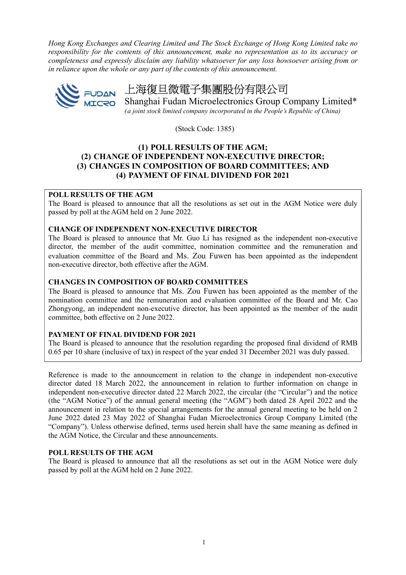Hong Kong Exchanges and Clearing Limited and The Stock Exchange of Hong Kong Limited take no responsibility for the contents of this announcement, make no representation as to its accuracy or completeness and expressly disclaim any liability whatsoever for any loss howsoever arising from or in reliance upon the whole or any part of the contents of this announcement.



# FUDAN 上海復旦微電子集團股份有限公司

**ILCRO** Shanghai Fudan Microelectronics Group Company Limited\* (a joint stock limited company incorporated in the People's Republic of China)

(Stock Code: 1385)

## (1) POLL RESULTS OF THE AGM; (2) CHANGE OF INDEPENDENT NON-EXECUTIVE DIRECTOR; (3) CHANGES IN COMPOSITION OF BOARD COMMITTEES; AND (4) PAYMENT OF FINAL DIVIDEND FOR 2021

## POLL RESULTS OF THE AGM

The Board is pleased to announce that all the resolutions as set out in the AGM Notice were duly passed by poll at the AGM held on 2 June 2022.

## CHANGE OF INDEPENDENT NON-EXECUTIVE DIRECTOR

The Board is pleased to announce that Mr. Guo Li has resigned as the independent non-executive director, the member of the audit committee, nomination committee and the remuneration and evaluation committee of the Board and Ms. Zou Fuwen has been appointed as the independent non-executive director, both effective after the AGM.

## CHANGES IN COMPOSITION OF BOARD COMMITTEES

The Board is pleased to announce that Ms. Zou Fuwen has been appointed as the member of the nomination committee and the remuneration and evaluation committee of the Board and Mr. Cao Zhongyong, an independent non-executive director, has been appointed as the member of the audit committee, both effective on 2 June 2022.

## PAYMENT OF FINAL DIVIDEND FOR 2021

The Board is pleased to announce that the resolution regarding the proposed final dividend of RMB 0.65 per 10 share (inclusive of tax) in respect of the year ended 31 December 2021 was duly passed.

Reference is made to the announcement in relation to the change in independent non-executive director dated 18 March 2022, the announcement in relation to further information on change in independent non-executive director dated 22 March 2022, the circular (the "Circular") and the notice (the "AGM Notice") of the annual general meeting (the "AGM") both dated 28 April 2022 and the announcement in relation to the special arrangements for the annual general meeting to be held on 2 June 2022 dated 23 May 2022 of Shanghai Fudan Microelectronics Group Company Limited (the "Company"). Unless otherwise defined, terms used herein shall have the same meaning as defined in the AGM Notice, the Circular and these announcements.

## POLL RESULTS OF THE AGM

The Board is pleased to announce that all the resolutions as set out in the AGM Notice were duly passed by poll at the AGM held on 2 June 2022.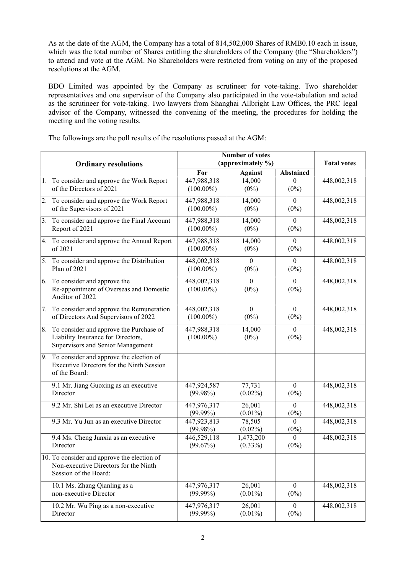As at the date of the AGM, the Company has a total of 814,502,000 Shares of RMB0.10 each in issue, which was the total number of Shares entitling the shareholders of the Company (the "Shareholders") to attend and vote at the AGM. No Shareholders were restricted from voting on any of the proposed resolutions at the AGM.

BDO Limited was appointed by the Company as scrutineer for vote-taking. Two shareholder representatives and one supervisor of the Company also participated in the vote-tabulation and acted as the scrutineer for vote-taking. Two lawyers from Shanghai Allbright Law Offices, the PRC legal advisor of the Company, witnessed the convening of the meeting, the procedures for holding the meeting and the voting results.

|            | <b>Ordinary resolutions</b>                                                                                        | <b>Number of votes</b><br>(approximately %) |                         |                             | <b>Total votes</b> |
|------------|--------------------------------------------------------------------------------------------------------------------|---------------------------------------------|-------------------------|-----------------------------|--------------------|
|            |                                                                                                                    | For                                         | <b>Against</b>          | <b>Abstained</b>            |                    |
| 1.         | To consider and approve the Work Report<br>of the Directors of 2021                                                | 447,988,318<br>$(100.00\%)$                 | 14,000<br>$(0\%)$       | $\Omega$<br>$(0\%)$         | 448,002,318        |
| 2.         | To consider and approve the Work Report<br>of the Supervisors of 2021                                              | 447,988,318<br>$(100.00\%)$                 | 14,000<br>$(0\%)$       | $\theta$<br>$(0\%)$         | 448,002,318        |
| 3.         | To consider and approve the Final Account<br>Report of 2021                                                        | 447,988,318<br>$(100.00\%)$                 | 14,000<br>$(0\%)$       | $\theta$<br>$(0\%)$         | 448,002,318        |
| 4.         | To consider and approve the Annual Report<br>of 2021                                                               | 447,988,318<br>$(100.00\%)$                 | 14,000<br>$(0\%)$       | $\theta$<br>$(0\%)$         | 448,002,318        |
| $\vert$ 5. | To consider and approve the Distribution<br>Plan of 2021                                                           | 448,002,318<br>$(100.00\%)$                 | $\left($<br>$(0\%)$     | $\theta$<br>$(0\%)$         | 448,002,318        |
| 6.         | To consider and approve the<br>Re-appointment of Overseas and Domestic<br>Auditor of 2022                          | 448,002,318<br>$(100.00\%)$                 | $\mathbf{0}$<br>$(0\%)$ | $\overline{0}$<br>$(0\%)$   | 448,002,318        |
| 7.         | To consider and approve the Remuneration<br>of Directors And Supervisors of 2022                                   | 448,002,318<br>$(100.00\%)$                 | $\theta$<br>$(0\%)$     | $\theta$<br>$(0\%)$         | 448,002,318        |
| 8.         | To consider and approve the Purchase of<br>Liability Insurance for Directors,<br>Supervisors and Senior Management | 447,988,318<br>$(100.00\%)$                 | 14,000<br>$(0\%)$       | $\boldsymbol{0}$<br>$(0\%)$ | 448,002,318        |
| 9.         | To consider and approve the election of<br>Executive Directors for the Ninth Session<br>of the Board:              |                                             |                         |                             |                    |
|            | 9.1 Mr. Jiang Guoxing as an executive<br>Director                                                                  | 447,924,587<br>$(99.98\%)$                  | 77,731<br>$(0.02\%)$    | $\mathbf{0}$<br>$(0\%)$     | 448,002,318        |
|            | 9.2 Mr. Shi Lei as an executive Director                                                                           | 447,976,317<br>$(99.99\%)$                  | 26,001<br>$(0.01\%)$    | $\Omega$<br>$(0\%)$         | 448,002,318        |
|            | 9.3 Mr. Yu Jun as an executive Director                                                                            | 447,923,813<br>$(99.98\%)$                  | 78,505<br>$(0.02\%)$    | $\Omega$<br>$(0\%)$         | 448,002,318        |
|            | 9.4 Ms. Cheng Junxia as an executive<br>Director                                                                   | 446,529,118<br>(99.67%)                     | 1,473,200<br>$(0.33\%)$ | $\Omega$<br>$(0\%)$         | 448,002,318        |
|            | 10. To consider and approve the election of<br>Non-executive Directors for the Ninth<br>Session of the Board:      |                                             |                         |                             |                    |
|            | 10.1 Ms. Zhang Qianling as a<br>non-executive Director                                                             | 447,976,317<br>$(99.99\%)$                  | 26,001<br>$(0.01\%)$    | $\overline{0}$<br>$(0\%)$   | 448,002,318        |
|            | 10.2 Mr. Wu Ping as a non-executive<br>Director                                                                    | 447,976,317<br>$(99.99\%)$                  | 26,001<br>$(0.01\%)$    | $\overline{0}$<br>$(0\%)$   | 448,002,318        |

The followings are the poll results of the resolutions passed at the AGM: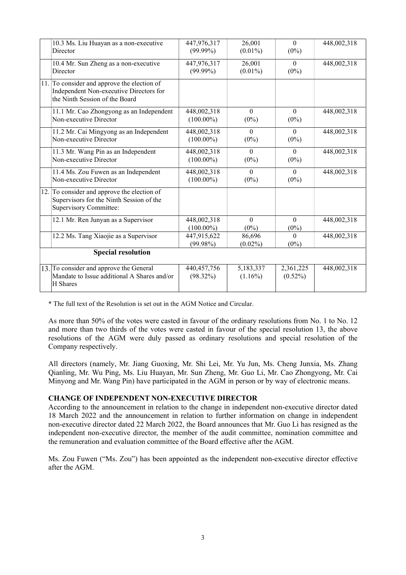|                           | 10.3 Ms. Liu Huayan as a non-executive<br>Director                                                                       | 447,976,317<br>$(99.99\%)$   | 26,001<br>$(0.01\%)$        | $\theta$<br>$(0\%)$     | 448,002,318 |  |  |
|---------------------------|--------------------------------------------------------------------------------------------------------------------------|------------------------------|-----------------------------|-------------------------|-------------|--|--|
|                           | 10.4 Mr. Sun Zheng as a non-executive<br>Director                                                                        | 447,976,317<br>$(99.99\%)$   | 26,001<br>$(0.01\%)$        | $\theta$<br>$(0\%)$     | 448,002,318 |  |  |
|                           | 11. To consider and approve the election of<br>Independent Non-executive Directors for<br>the Ninth Session of the Board |                              |                             |                         |             |  |  |
|                           | 11.1 Mr. Cao Zhongyong as an Independent<br>Non-executive Director                                                       | 448,002,318<br>$(100.00\%)$  | $\mathbf{0}$<br>$(0\%)$     | $\theta$<br>$(0\%)$     | 448,002,318 |  |  |
|                           | 11.2 Mr. Cai Mingyong as an Independent<br>Non-executive Director                                                        | 448,002,318<br>$(100.00\%)$  | $\Omega$<br>$(0\%)$         | $\theta$<br>$(0\%)$     | 448,002,318 |  |  |
|                           | 11.3 Mr. Wang Pin as an Independent<br>Non-executive Director                                                            | 448,002,318<br>$(100.00\%)$  | $\theta$<br>$(0\%)$         | $\theta$<br>$(0\%)$     | 448,002,318 |  |  |
|                           | 11.4 Ms. Zou Fuwen as an Independent<br>Non-executive Director                                                           | 448,002,318<br>$(100.00\%)$  | $\theta$<br>$(0\%)$         | $\theta$<br>$(0\%)$     | 448,002,318 |  |  |
|                           | 12. To consider and approve the election of<br>Supervisors for the Ninth Session of the<br><b>Supervisory Committee:</b> |                              |                             |                         |             |  |  |
|                           | 12.1 Mr. Ren Junyan as a Supervisor                                                                                      | 448,002,318<br>$(100.00\%)$  | $\boldsymbol{0}$<br>$(0\%)$ | $\theta$<br>$(0\%)$     | 448,002,318 |  |  |
|                           | 12.2 Ms. Tang Xiaojie as a Supervisor                                                                                    | 447,915,622<br>$(99.98\%)$   | 86,696<br>$(0.02\%)$        | $\Omega$<br>$(0\%)$     | 448,002,318 |  |  |
| <b>Special resolution</b> |                                                                                                                          |                              |                             |                         |             |  |  |
|                           | 13. To consider and approve the General<br>Mandate to Issue additional A Shares and/or<br>H Shares                       | 440, 457, 756<br>$(98.32\%)$ | 5,183,337<br>$(1.16\%)$     | 2,361,225<br>$(0.52\%)$ | 448,002,318 |  |  |

\* The full text of the Resolution is set out in the AGM Notice and Circular.

As more than 50% of the votes were casted in favour of the ordinary resolutions from No. 1 to No. 12 and more than two thirds of the votes were casted in favour of the special resolution 13, the above resolutions of the AGM were duly passed as ordinary resolutions and special resolution of the Company respectively.

All directors (namely, Mr. Jiang Guoxing, Mr. Shi Lei, Mr. Yu Jun, Ms. Cheng Junxia, Ms. Zhang Qianling, Mr. Wu Ping, Ms. Liu Huayan, Mr. Sun Zheng, Mr. Guo Li, Mr. Cao Zhongyong, Mr. Cai Minyong and Mr. Wang Pin) have participated in the AGM in person or by way of electronic means.

## CHANGE OF INDEPENDENT NON-EXECUTIVE DIRECTOR

According to the announcement in relation to the change in independent non-executive director dated 18 March 2022 and the announcement in relation to further information on change in independent non-executive director dated 22 March 2022, the Board announces that Mr. Guo Li has resigned as the independent non-executive director, the member of the audit committee, nomination committee and the remuneration and evaluation committee of the Board effective after the AGM.

Ms. Zou Fuwen ("Ms. Zou") has been appointed as the independent non-executive director effective after the AGM.